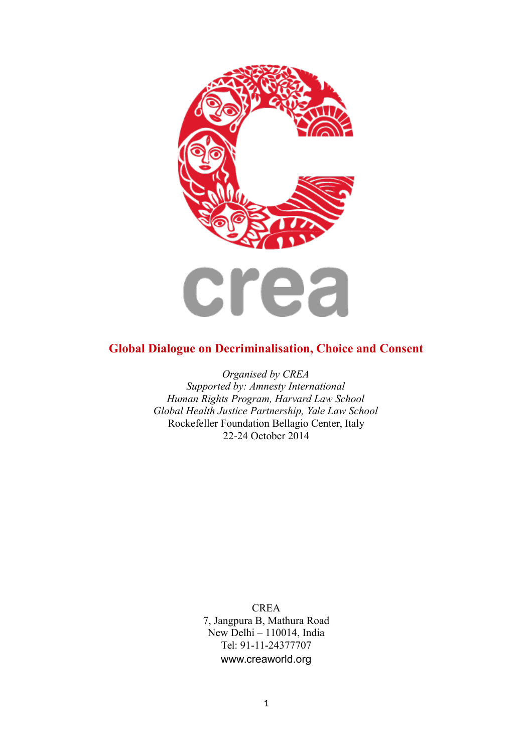

# **Global Dialogue on Decriminalisation, Choice and Consent**

*Organised by CREA Supported by: Amnesty International Human Rights Program, Harvard Law School Global Health Justice Partnership, Yale Law School* Rockefeller Foundation Bellagio Center, Italy 22-24 October 2014

> **CREA** 7, Jangpura B, Mathura Road New Delhi – 110014, India Tel: 91-11-24377707 www.creaworld.org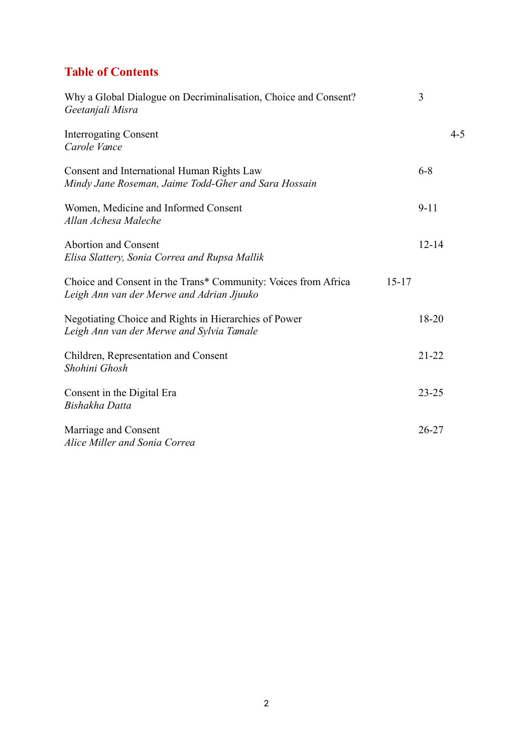# **Table of Contents**

| Why a Global Dialogue on Decriminalisation, Choice and Consent?<br>Geetanjali Misra                                      | 3         |         |
|--------------------------------------------------------------------------------------------------------------------------|-----------|---------|
| <b>Interrogating Consent</b><br>Carole Vance                                                                             |           | $4 - 5$ |
| Consent and International Human Rights Law<br>Mindy Jane Roseman, Jaime Todd-Gher and Sara Hossain                       | $6 - 8$   |         |
| Women, Medicine and Informed Consent<br>Allan Achesa Maleche                                                             | $9 - 11$  |         |
| <b>Abortion and Consent</b><br>Elisa Slattery, Sonia Correa and Rupsa Mallik                                             | $12 - 14$ |         |
| Choice and Consent in the Trans* Community: Voices from Africa<br>$15 - 17$<br>Leigh Ann van der Merwe and Adrian Jjuuko |           |         |
| Negotiating Choice and Rights in Hierarchies of Power<br>Leigh Ann van der Merwe and Sylvia Tamale                       | 18-20     |         |
| Children, Representation and Consent<br>Shohini Ghosh                                                                    | $21 - 22$ |         |
| Consent in the Digital Era<br>Bishakha Datta                                                                             | $23 - 25$ |         |
| Marriage and Consent<br>Alice Miller and Sonia Correa                                                                    | $26 - 27$ |         |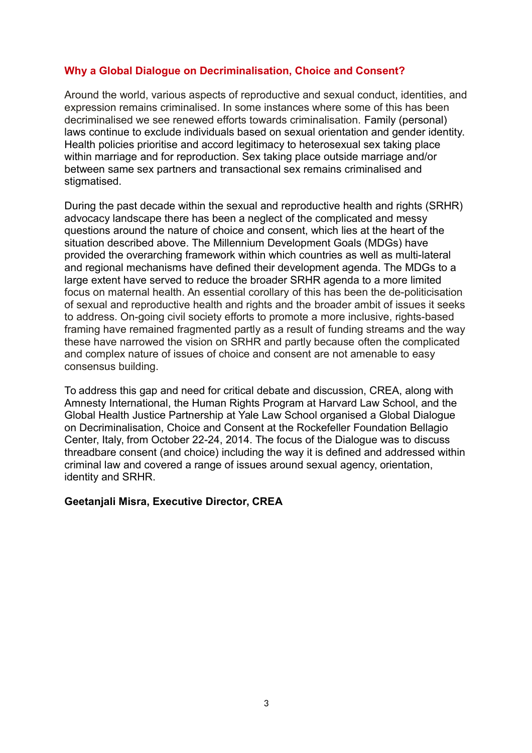# **Why a Global Dialogue on Decriminalisation, Choice and Consent?**

Around the world, various aspects of reproductive and sexual conduct, identities, and expression remains criminalised. In some instances where some of this has been decriminalised we see renewed efforts towards criminalisation. Family (personal) laws continue to exclude individuals based on sexual orientation and gender identity. Health policies prioritise and accord legitimacy to heterosexual sex taking place within marriage and for reproduction. Sex taking place outside marriage and/or between same sex partners and transactional sex remains criminalised and stigmatised.

During the past decade within the sexual and reproductive health and rights (SRHR) advocacy landscape there has been a neglect of the complicated and messy questions around the nature of choice and consent, which lies at the heart of the situation described above. The Millennium Development Goals (MDGs) have provided the overarching framework within which countries as well as multi-lateral and regional mechanisms have defined their development agenda. The MDGs to a large extent have served to reduce the broader SRHR agenda to a more limited focus on maternal health. An essential corollary of this has been the de-politicisation of sexual and reproductive health and rights and the broader ambit of issues it seeks to address. On-going civil society efforts to promote a more inclusive, rights-based framing have remained fragmented partly as a result of funding streams and the way these have narrowed the vision on SRHR and partly because often the complicated and complex nature of issues of choice and consent are not amenable to easy consensus building.

To address this gap and need for critical debate and discussion, CREA, along with Amnesty International, the Human Rights Program at Harvard Law School, and the Global Health Justice Partnership at Yale Law School organised a Global Dialogue on Decriminalisation, Choice and Consent at the Rockefeller Foundation Bellagio Center, Italy, from October 22-24, 2014. The focus of the Dialogue was to discuss threadbare consent (and choice) including the way it is defined and addressed within criminal law and covered a range of issues around sexual agency, orientation, identity and SRHR.

# **Geetanjali Misra, Executive Director, CREA**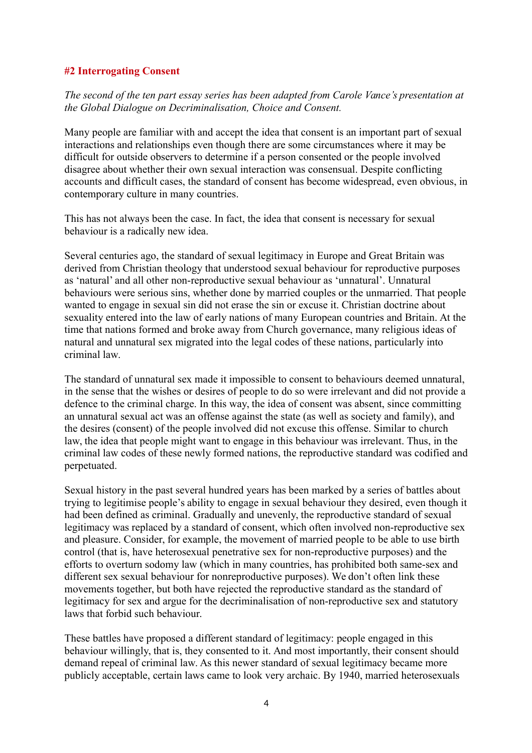# **#2 Interrogating Consent**

*The second of the ten part essay series has been adapted from Carole Vance's presentation at the Global Dialogue on Decriminalisation, Choice and Consent.*

Many people are familiar with and accept the idea that consent is an important part of sexual interactions and relationships even though there are some circumstances where it may be difficult for outside observers to determine if a person consented or the people involved disagree about whether their own sexual interaction was consensual. Despite conflicting accounts and difficult cases, the standard of consent has become widespread, even obvious, in contemporary culture in many countries.

This has not always been the case. In fact, the idea that consent is necessary for sexual behaviour is a radically new idea.

Several centuries ago, the standard of sexual legitimacy in Europe and Great Britain was derived from Christian theology that understood sexual behaviour for reproductive purposes as 'natural' and all other non-reproductive sexual behaviour as 'unnatural'. Unnatural behaviours were serious sins, whether done by married couples or the unmarried. That people wanted to engage in sexual sin did not erase the sin or excuse it. Christian doctrine about sexuality entered into the law of early nations of many European countries and Britain. At the time that nations formed and broke away from Church governance, many religious ideas of natural and unnatural sex migrated into the legal codes of these nations, particularly into criminal law.

The standard of unnatural sex made it impossible to consent to behaviours deemed unnatural, in the sense that the wishes or desires of people to do so were irrelevant and did not provide a defence to the criminal charge. In this way, the idea of consent was absent, since committing an unnatural sexual act was an offense against the state (as well as society and family), and the desires (consent) of the people involved did not excuse this offense. Similar to church law, the idea that people might want to engage in this behaviour was irrelevant. Thus, in the criminal law codes of these newly formed nations, the reproductive standard was codified and perpetuated.

Sexual history in the past several hundred years has been marked by a series of battles about trying to legitimise people's ability to engage in sexual behaviour they desired, even though it had been defined as criminal. Gradually and unevenly, the reproductive standard of sexual legitimacy was replaced by a standard of consent, which often involved non-reproductive sex and pleasure. Consider, for example, the movement of married people to be able to use birth control (that is, have heterosexual penetrative sex for non-reproductive purposes) and the efforts to overturn sodomy law (which in many countries, has prohibited both same-sex and different sex sexual behaviour for nonreproductive purposes). We don't often link these movements together, but both have rejected the reproductive standard as the standard of legitimacy for sex and argue for the decriminalisation of non-reproductive sex and statutory laws that forbid such behaviour.

These battles have proposed a different standard of legitimacy: people engaged in this behaviour willingly, that is, they consented to it. And most importantly, their consent should demand repeal of criminal law. As this newer standard of sexual legitimacy became more publicly acceptable, certain laws came to look very archaic. By 1940, married heterosexuals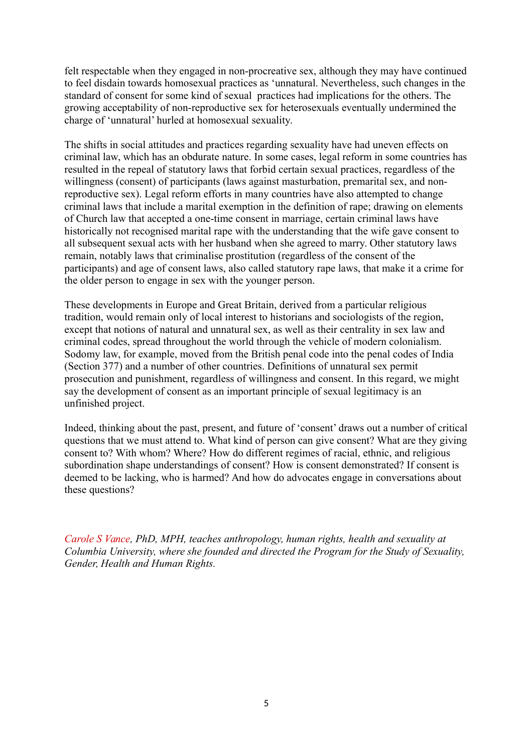felt respectable when they engaged in non-procreative sex, although they may have continued to feel disdain towards homosexual practices as 'unnatural. Nevertheless, such changes in the standard of consent for some kind of sexual practices had implications for the others. The growing acceptability of non-reproductive sex for heterosexuals eventually undermined the charge of 'unnatural' hurled at homosexual sexuality.

The shifts in social attitudes and practices regarding sexuality have had uneven effects on criminal law, which has an obdurate nature. In some cases, legal reform in some countries has resulted in the repeal of statutory laws that forbid certain sexual practices, regardless of the willingness (consent) of participants (laws against masturbation, premarital sex, and nonreproductive sex). Legal reform efforts in many countries have also attempted to change criminal laws that include a marital exemption in the definition of rape; drawing on elements of Church law that accepted a one-time consent in marriage, certain criminal laws have historically not recognised marital rape with the understanding that the wife gave consent to all subsequent sexual acts with her husband when she agreed to marry. Other statutory laws remain, notably laws that criminalise prostitution (regardless of the consent of the participants) and age of consent laws, also called statutory rape laws, that make it a crime for the older person to engage in sex with the younger person.

These developments in Europe and Great Britain, derived from a particular religious tradition, would remain only of local interest to historians and sociologists of the region, except that notions of natural and unnatural sex, as well as their centrality in sex law and criminal codes, spread throughout the world through the vehicle of modern colonialism. Sodomy law, for example, moved from the British penal code into the penal codes of India (Section 377) and a number of other countries. Definitions of unnatural sex permit prosecution and punishment, regardless of willingness and consent. In this regard, we might say the development of consent as an important principle of sexual legitimacy is an unfinished project.

Indeed, thinking about the past, present, and future of 'consent' draws out a number of critical questions that we must attend to. What kind of person can give consent? What are they giving consent to? With whom? Where? How do different regimes of racial, ethnic, and religious subordination shape understandings of consent? How is consent demonstrated? If consent is deemed to be lacking, who is harmed? And how do advocates engage in conversations about these questions?

*Carole S Vance, PhD, MPH, teaches anthropology, human rights, health and sexuality at Columbia University, where she founded and directed the Program for the Study of Sexuality, Gender, Health and Human Rights.*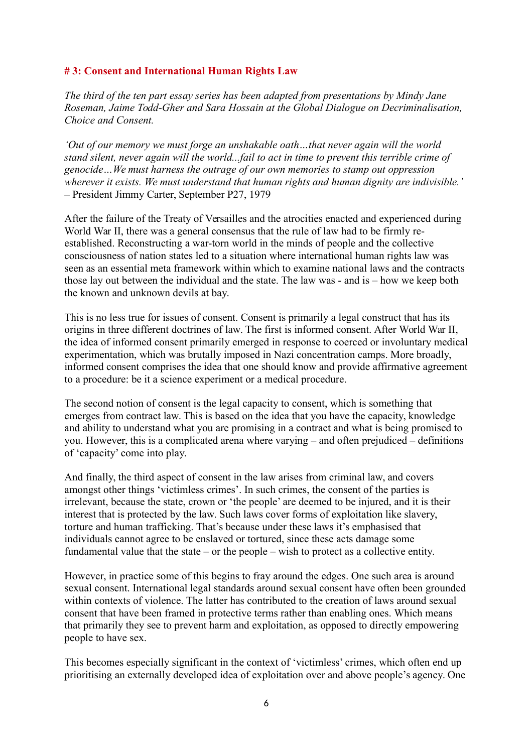# **# 3: Consent and International Human Rights Law**

*The third of the ten part essay series has been adapted from presentations by Mindy Jane Roseman, Jaime Todd-Gher and Sara Hossain at the Global Dialogue on Decriminalisation, Choice and Consent.*

*'Out of our memory we must forge an unshakable oath…that never again will the world stand silent, never again will the world...fail to act in time to prevent this terrible crime of genocide…We must harness the outrage of our own memories to stamp out oppression wherever it exists. We must understand that human rights and human dignity are indivisible.'*  – President Jimmy Carter, September P27, 1979

After the failure of the Treaty of Versailles and the atrocities enacted and experienced during World War II, there was a general consensus that the rule of law had to be firmly reestablished. Reconstructing a war-torn world in the minds of people and the collective consciousness of nation states led to a situation where international human rights law was seen as an essential meta framework within which to examine national laws and the contracts those lay out between the individual and the state. The law was - and is – how we keep both the known and unknown devils at bay.

This is no less true for issues of consent. Consent is primarily a legal construct that has its origins in three different doctrines of law. The first is informed consent. After World War II, the idea of informed consent primarily emerged in response to coerced or involuntary medical experimentation, which was brutally imposed in Nazi concentration camps. More broadly, informed consent comprises the idea that one should know and provide affirmative agreement to a procedure: be it a science experiment or a medical procedure.

The second notion of consent is the legal capacity to consent, which is something that emerges from contract law. This is based on the idea that you have the capacity, knowledge and ability to understand what you are promising in a contract and what is being promised to you. However, this is a complicated arena where varying – and often prejudiced – definitions of 'capacity' come into play.

And finally, the third aspect of consent in the law arises from criminal law, and covers amongst other things 'victimless crimes'. In such crimes, the consent of the parties is irrelevant, because the state, crown or 'the people' are deemed to be injured, and it is their interest that is protected by the law. Such laws cover forms of exploitation like slavery, torture and human trafficking. That's because under these laws it's emphasised that individuals cannot agree to be enslaved or tortured, since these acts damage some fundamental value that the state – or the people – wish to protect as a collective entity.

However, in practice some of this begins to fray around the edges. One such area is around sexual consent. International legal standards around sexual consent have often been grounded within contexts of violence. The latter has contributed to the creation of laws around sexual consent that have been framed in protective terms rather than enabling ones. Which means that primarily they see to prevent harm and exploitation, as opposed to directly empowering people to have sex.

This becomes especially significant in the context of 'victimless' crimes, which often end up prioritising an externally developed idea of exploitation over and above people's agency. One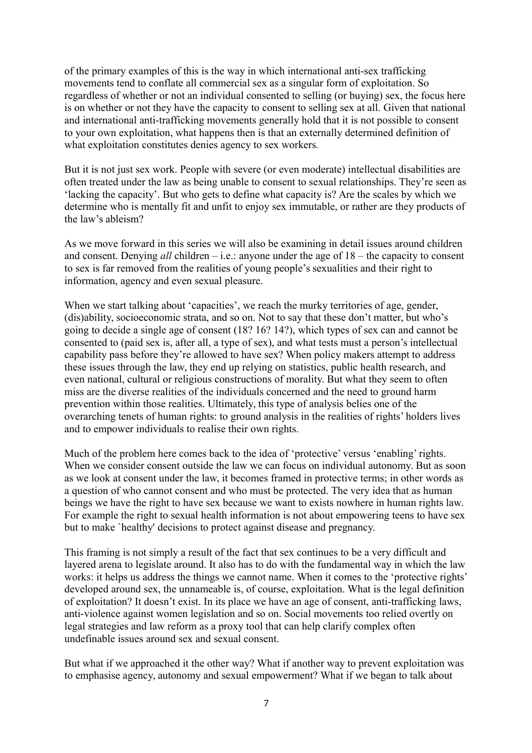of the primary examples of this is the way in which international anti-sex trafficking movements tend to conflate all commercial sex as a singular form of exploitation. So regardless of whether or not an individual consented to selling (or buying) sex, the focus here is on whether or not they have the capacity to consent to selling sex at all. Given that national and international anti-trafficking movements generally hold that it is not possible to consent to your own exploitation, what happens then is that an externally determined definition of what exploitation constitutes denies agency to sex workers*.*

But it is not just sex work. People with severe (or even moderate) intellectual disabilities are often treated under the law as being unable to consent to sexual relationships. They're seen as 'lacking the capacity'. But who gets to define what capacity is? Are the scales by which we determine who is mentally fit and unfit to enjoy sex immutable, or rather are they products of the law's ableism?

As we move forward in this series we will also be examining in detail issues around children and consent. Denying *all* children – i.e.: anyone under the age of 18 – the capacity to consent to sex is far removed from the realities of young people's sexualities and their right to information, agency and even sexual pleasure.

When we start talking about 'capacities', we reach the murky territories of age, gender, (dis)ability, socioeconomic strata, and so on. Not to say that these don't matter, but who's going to decide a single age of consent (18? 16? 14?), which types of sex can and cannot be consented to (paid sex is, after all, a type of sex), and what tests must a person's intellectual capability pass before they're allowed to have sex? When policy makers attempt to address these issues through the law, they end up relying on statistics, public health research, and even national, cultural or religious constructions of morality. But what they seem to often miss are the diverse realities of the individuals concerned and the need to ground harm prevention within those realities. Ultimately, this type of analysis belies one of the overarching tenets of human rights: to ground analysis in the realities of rights' holders lives and to empower individuals to realise their own rights.

Much of the problem here comes back to the idea of 'protective' versus 'enabling' rights. When we consider consent outside the law we can focus on individual autonomy. But as soon as we look at consent under the law, it becomes framed in protective terms; in other words as a question of who cannot consent and who must be protected. The very idea that as human beings we have the right to have sex because we want to exists nowhere in human rights law. For example the right to sexual health information is not about empowering teens to have sex but to make `healthy' decisions to protect against disease and pregnancy.

This framing is not simply a result of the fact that sex continues to be a very difficult and layered arena to legislate around. It also has to do with the fundamental way in which the law works: it helps us address the things we cannot name. When it comes to the 'protective rights' developed around sex, the unnameable is, of course, exploitation. What is the legal definition of exploitation? It doesn't exist. In its place we have an age of consent, anti-trafficking laws, anti-violence against women legislation and so on. Social movements too relied overtly on legal strategies and law reform as a proxy tool that can help clarify complex often undefinable issues around sex and sexual consent.

But what if we approached it the other way? What if another way to prevent exploitation was to emphasise agency, autonomy and sexual empowerment? What if we began to talk about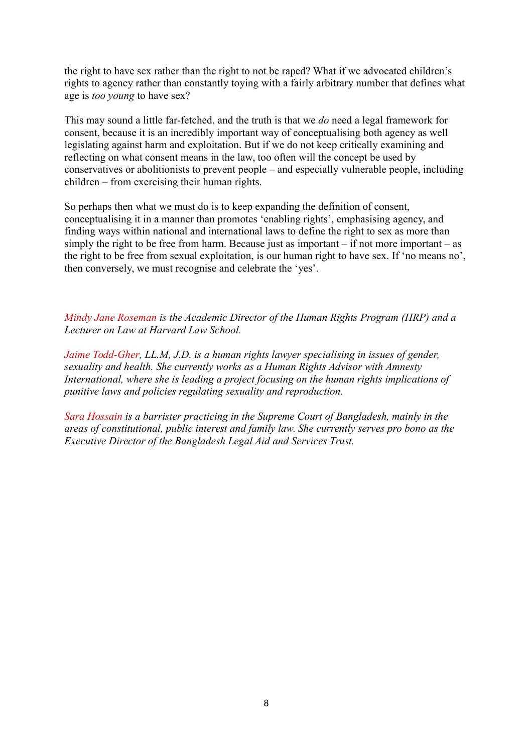the right to have sex rather than the right to not be raped? What if we advocated children's rights to agency rather than constantly toying with a fairly arbitrary number that defines what age is *too young* to have sex?

This may sound a little far-fetched, and the truth is that we *do* need a legal framework for consent, because it is an incredibly important way of conceptualising both agency as well legislating against harm and exploitation. But if we do not keep critically examining and reflecting on what consent means in the law, too often will the concept be used by conservatives or abolitionists to prevent people – and especially vulnerable people, including children – from exercising their human rights.

So perhaps then what we must do is to keep expanding the definition of consent, conceptualising it in a manner than promotes 'enabling rights', emphasising agency, and finding ways within national and international laws to define the right to sex as more than simply the right to be free from harm. Because just as important – if not more important – as the right to be free from sexual exploitation, is our human right to have sex. If 'no means no', then conversely, we must recognise and celebrate the 'yes'.

*Mindy Jane Roseman is the Academic Director of the Human Rights Program (HRP) and a Lecturer on Law at Harvard Law School.*

*Jaime Todd-Gher, LL.M, J.D. is a human rights lawyer specialising in issues of gender, sexuality and health. She currently works as a Human Rights Advisor with Amnesty International, where she is leading a project focusing on the human rights implications of punitive laws and policies regulating sexuality and reproduction.*

*Sara Hossain is a barrister practicing in the Supreme Court of Bangladesh, mainly in the areas of constitutional, public interest and family law. She currently serves pro bono as the Executive Director of the Bangladesh Legal Aid and Services Trust.*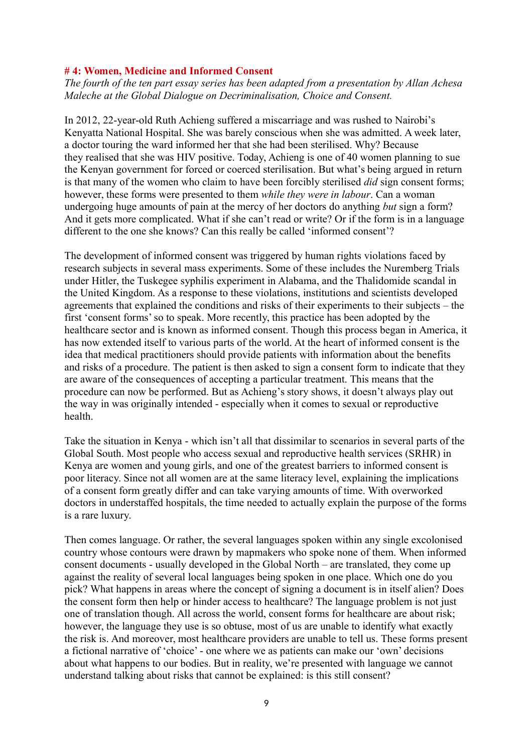#### **# 4: Women, Medicine and Informed Consent**

*The fourth of the ten part essay series has been adapted from a presentation by Allan Achesa Maleche at the Global Dialogue on Decriminalisation, Choice and Consent.*

In 2012, 22-year-old Ruth Achieng suffered a miscarriage and was rushed to Nairobi's Kenyatta National Hospital. She was barely conscious when she was admitted. A week later, a doctor touring the ward informed her that she had been sterilised. Why? Because they realised that she was HIV positive. Today, Achieng is one of 40 women planning to sue the Kenyan government for forced or coerced sterilisation. But what's being argued in return is that many of the women who claim to have been forcibly sterilised *did* sign consent forms; however, these forms were presented to them *while they were in labour*. Can a woman undergoing huge amounts of pain at the mercy of her doctors do anything *but* sign a form? And it gets more complicated. What if she can't read or write? Or if the form is in a language different to the one she knows? Can this really be called 'informed consent'?

The development of informed consent was triggered by human rights violations faced by research subjects in several mass experiments. Some of these includes the Nuremberg Trials under Hitler, the Tuskegee syphilis experiment in Alabama, and the Thalidomide scandal in the United Kingdom. As a response to these violations, institutions and scientists developed agreements that explained the conditions and risks of their experiments to their subjects – the first 'consent forms' so to speak. More recently, this practice has been adopted by the healthcare sector and is known as informed consent. Though this process began in America, it has now extended itself to various parts of the world. At the heart of informed consent is the idea that medical practitioners should provide patients with information about the benefits and risks of a procedure. The patient is then asked to sign a consent form to indicate that they are aware of the consequences of accepting a particular treatment. This means that the procedure can now be performed. But as Achieng's story shows, it doesn't always play out the way in was originally intended - especially when it comes to sexual or reproductive health.

Take the situation in Kenya - which isn't all that dissimilar to scenarios in several parts of the Global South. Most people who access sexual and reproductive health services (SRHR) in Kenya are women and young girls, and one of the greatest barriers to informed consent is poor literacy. Since not all women are at the same literacy level, explaining the implications of a consent form greatly differ and can take varying amounts of time. With overworked doctors in understaffed hospitals, the time needed to actually explain the purpose of the forms is a rare luxury.

Then comes language. Or rather, the several languages spoken within any single excolonised country whose contours were drawn by mapmakers who spoke none of them. When informed consent documents - usually developed in the Global North – are translated, they come up against the reality of several local languages being spoken in one place. Which one do you pick? What happens in areas where the concept of signing a document is in itself alien? Does the consent form then help or hinder access to healthcare? The language problem is not just one of translation though. All across the world, consent forms for healthcare are about risk; however, the language they use is so obtuse, most of us are unable to identify what exactly the risk is. And moreover, most healthcare providers are unable to tell us. These forms present a fictional narrative of 'choice' - one where we as patients can make our 'own' decisions about what happens to our bodies. But in reality, we're presented with language we cannot understand talking about risks that cannot be explained: is this still consent?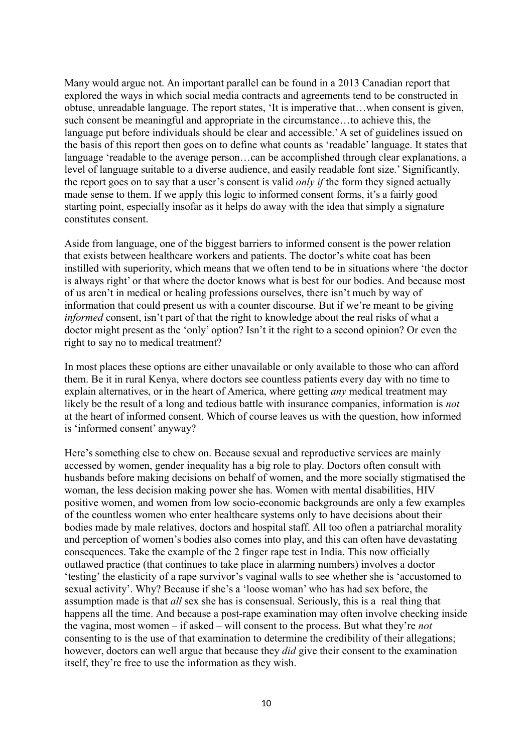Many would argue not. An important parallel can be found in a 2013 Canadian report that explored the ways in which social media contracts and agreements tend to be constructed in obtuse, unreadable language. The report states, 'It is imperative that…when consent is given, such consent be meaningful and appropriate in the circumstance…to achieve this, the language put before individuals should be clear and accessible.' A set of guidelines issued on the basis of this report then goes on to define what counts as 'readable' language. It states that language 'readable to the average person…can be accomplished through clear explanations, a level of language suitable to a diverse audience, and easily readable font size.' Significantly, the report goes on to say that a user's consent is valid *only if* the form they signed actually made sense to them. If we apply this logic to informed consent forms, it's a fairly good starting point, especially insofar as it helps do away with the idea that simply a signature constitutes consent.

Aside from language, one of the biggest barriers to informed consent is the power relation that exists between healthcare workers and patients. The doctor's white coat has been instilled with superiority, which means that we often tend to be in situations where 'the doctor is always right' or that where the doctor knows what is best for our bodies. And because most of us aren't in medical or healing professions ourselves, there isn't much by way of information that could present us with a counter discourse. But if we're meant to be giving *informed* consent, isn't part of that the right to knowledge about the real risks of what a doctor might present as the 'only' option? Isn't it the right to a second opinion? Or even the right to say no to medical treatment?

In most places these options are either unavailable or only available to those who can afford them. Be it in rural Kenya, where doctors see countless patients every day with no time to explain alternatives, or in the heart of America, where getting *any* medical treatment may likely be the result of a long and tedious battle with insurance companies, information is *not*  at the heart of informed consent. Which of course leaves us with the question, how informed is 'informed consent' anyway?

Here's something else to chew on. Because sexual and reproductive services are mainly accessed by women, gender inequality has a big role to play. Doctors often consult with husbands before making decisions on behalf of women, and the more socially stigmatised the woman, the less decision making power she has. Women with mental disabilities, HIV positive women, and women from low socio-economic backgrounds are only a few examples of the countless women who enter healthcare systems only to have decisions about their bodies made by male relatives, doctors and hospital staff. All too often a patriarchal morality and perception of women's bodies also comes into play, and this can often have devastating consequences. Take the example of the 2 finger rape test in India. This now officially outlawed practice (that continues to take place in alarming numbers) involves a doctor 'testing' the elasticity of a rape survivor's vaginal walls to see whether she is 'accustomed to sexual activity'. Why? Because if she's a 'loose woman' who has had sex before, the assumption made is that *all* sex she has is consensual. Seriously, this is a real thing that happens all the time. And because a post-rape examination may often involve checking inside the vagina, most women – if asked – will consent to the process. But what they're *not*  consenting to is the use of that examination to determine the credibility of their allegations; however, doctors can well argue that because they *did* give their consent to the examination itself, they're free to use the information as they wish.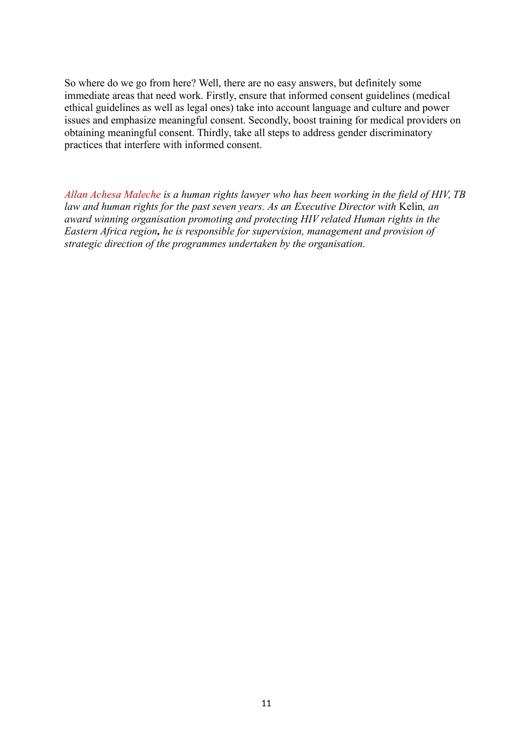So where do we go from here? Well, there are no easy answers, but definitely some immediate areas that need work. Firstly, ensure that informed consent guidelines (medical ethical guidelines as well as legal ones) take into account language and culture and power issues and emphasize meaningful consent. Secondly, boost training for medical providers on obtaining meaningful consent. Thirdly, take all steps to address gender discriminatory practices that interfere with informed consent.

*Allan Achesa Maleche is a human rights lawyer who has been working in the field of HIV, TB law and human rights for the past seven years. As an Executive Director with Kelin, an award winning organisation promoting and protecting HIV related Human rights in the Eastern Africa region, he is responsible for supervision, management and provision of strategic direction of the programmes undertaken by the organisation.*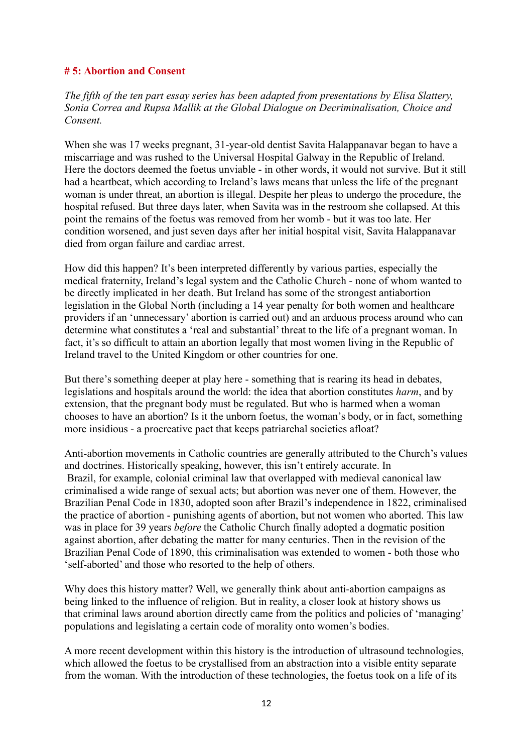#### **# 5: Abortion and Consent**

*The fifth of the ten part essay series has been adapted from presentations by Elisa Slattery, Sonia Correa and Rupsa Mallik at the Global Dialogue on Decriminalisation, Choice and Consent.*

When she was 17 weeks pregnant, 31-year-old dentist Savita Halappanavar began to have a miscarriage and was rushed to the Universal Hospital Galway in the Republic of Ireland. Here the doctors deemed the foetus unviable - in other words, it would not survive. But it still had a heartbeat, which according to Ireland's laws means that unless the life of the pregnant woman is under threat, an abortion is illegal. Despite her pleas to undergo the procedure, the hospital refused. But three days later, when Savita was in the restroom she collapsed. At this point the remains of the foetus was removed from her womb - but it was too late. Her condition worsened, and just seven days after her initial hospital visit, Savita Halappanavar died from organ failure and cardiac arrest.

How did this happen? It's been interpreted differently by various parties, especially the medical fraternity, Ireland's legal system and the Catholic Church - none of whom wanted to be directly implicated in her death. But Ireland has some of the strongest antiabortion legislation in the Global North (including a 14 year penalty for both women and healthcare providers if an 'unnecessary' abortion is carried out) and an arduous process around who can determine what constitutes a 'real and substantial' threat to the life of a pregnant woman. In fact, it's so difficult to attain an abortion legally that most women living in the Republic of Ireland travel to the United Kingdom or other countries for one.

But there's something deeper at play here - something that is rearing its head in debates, legislations and hospitals around the world: the idea that abortion constitutes *harm*, and by extension, that the pregnant body must be regulated. But who is harmed when a woman chooses to have an abortion? Is it the unborn foetus, the woman's body, or in fact, something more insidious - a procreative pact that keeps patriarchal societies afloat?

Anti-abortion movements in Catholic countries are generally attributed to the Church's values and doctrines. Historically speaking, however, this isn't entirely accurate. In Brazil, for example, colonial criminal law that overlapped with medieval canonical law criminalised a wide range of sexual acts; but abortion was never one of them. However, the Brazilian Penal Code in 1830, adopted soon after Brazil's independence in 1822, criminalised the practice of abortion - punishing agents of abortion, but not women who aborted. This law was in place for 39 years *before* the Catholic Church finally adopted a dogmatic position against abortion, after debating the matter for many centuries. Then in the revision of the Brazilian Penal Code of 1890, this criminalisation was extended to women - both those who 'self-aborted' and those who resorted to the help of others.

Why does this history matter? Well, we generally think about anti-abortion campaigns as being linked to the influence of religion. But in reality, a closer look at history shows us that criminal laws around abortion directly came from the politics and policies of 'managing' populations and legislating a certain code of morality onto women's bodies.

A more recent development within this history is the introduction of ultrasound technologies, which allowed the foetus to be crystallised from an abstraction into a visible entity separate from the woman. With the introduction of these technologies, the foetus took on a life of its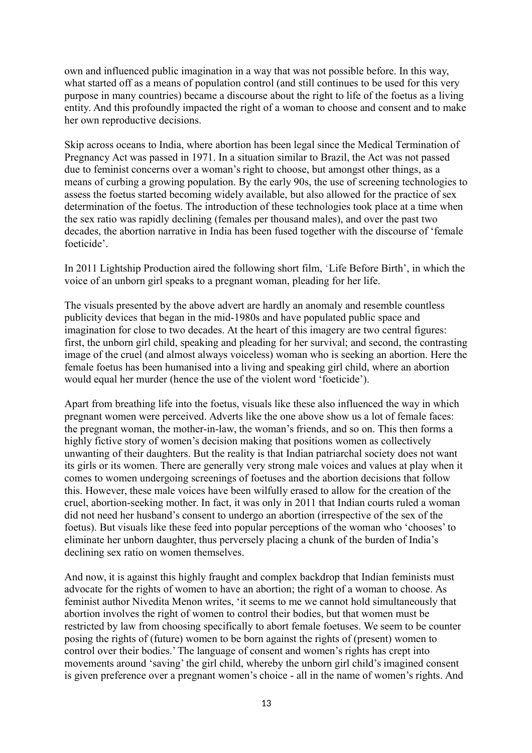own and influenced public imagination in a way that was not possible before. In this way, what started off as a means of population control (and still continues to be used for this very purpose in many countries) became a discourse about the right to life of the foetus as a living entity. And this profoundly impacted the right of a woman to choose and consent and to make her own reproductive decisions.

Skip across oceans to India, where abortion has been legal since the Medical Termination of Pregnancy Act was passed in 1971. In a situation similar to Brazil, the Act was not passed due to feminist concerns over a woman's right to choose, but amongst other things, as a means of curbing a growing population. By the early 90s, the use of screening technologies to assess the foetus started becoming widely available, but also allowed for the practice of sex determination of the foetus. The introduction of these technologies took place at a time when the sex ratio was rapidly declining (females per thousand males), and over the past two decades, the abortion narrative in India has been fused together with the discourse of 'female foeticide'.

In 2011 Lightship Production aired the following short film, 'Life Before Birth', in which the voice of an unborn girl speaks to a pregnant woman, pleading for her life.

The visuals presented by the above advert are hardly an anomaly and resemble countless publicity devices that began in the mid-1980s and have populated public space and imagination for close to two decades. At the heart of this imagery are two central figures: first, the unborn girl child, speaking and pleading for her survival; and second, the contrasting image of the cruel (and almost always voiceless) woman who is seeking an abortion. Here the female foetus has been humanised into a living and speaking girl child, where an abortion would equal her murder (hence the use of the violent word 'foeticide').

Apart from breathing life into the foetus, visuals like these also influenced the way in which pregnant women were perceived. Adverts like the one above show us a lot of female faces: the pregnant woman, the mother-in-law, the woman's friends, and so on. This then forms a highly fictive story of women's decision making that positions women as collectively unwanting of their daughters. But the reality is that Indian patriarchal society does not want its girls or its women. There are generally very strong male voices and values at play when it comes to women undergoing screenings of foetuses and the abortion decisions that follow this. However, these male voices have been wilfully erased to allow for the creation of the cruel, abortion-seeking mother. In fact, it was only in 2011 that Indian courts ruled a woman did not need her husband's consent to undergo an abortion (irrespective of the sex of the foetus). But visuals like these feed into popular perceptions of the woman who 'chooses' to eliminate her unborn daughter, thus perversely placing a chunk of the burden of India's declining sex ratio on women themselves.

And now, it is against this highly fraught and complex backdrop that Indian feminists must advocate for the rights of women to have an abortion; the right of a woman to choose. As feminist author Nivedita Menon writes, 'it seems to me we cannot hold simultaneously that abortion involves the right of women to control their bodies, but that women must be restricted by law from choosing specifically to abort female foetuses. We seem to be counter posing the rights of (future) women to be born against the rights of (present) women to control over their bodies.' The language of consent and women's rights has crept into movements around 'saving' the girl child, whereby the unborn girl child's imagined consent is given preference over a pregnant women's choice - all in the name of women's rights. And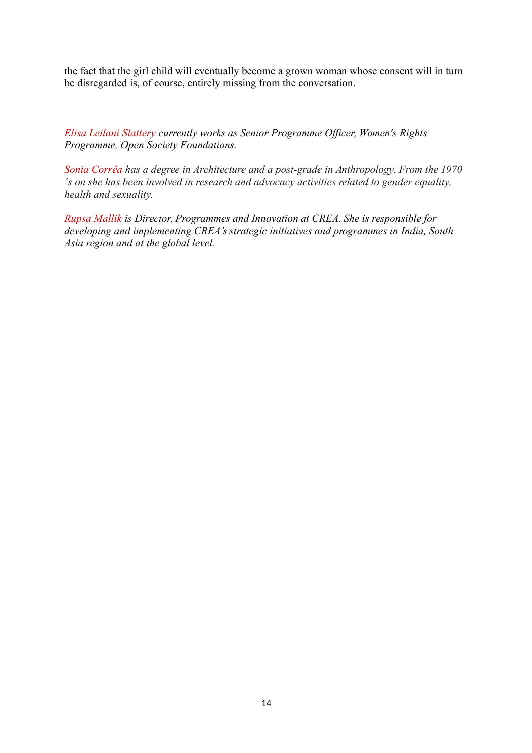the fact that the girl child will eventually become a grown woman whose consent will in turn be disregarded is, of course, entirely missing from the conversation.

*Elisa Leilani Slattery currently works as Senior Programme Officer, Women's Rights Programme, Open Society Foundations.*

*Sonia Corrêa has a degree in Architecture and a post-grade in Anthropology. From the 1970 ´s on she has been involved in research and advocacy activities related to gender equality, health and sexuality.*

*Rupsa Mallik is Director, Programmes and Innovation at CREA. She is responsible for developing and implementing CREA's strategic initiatives and programmes in India, South Asia region and at the global level.*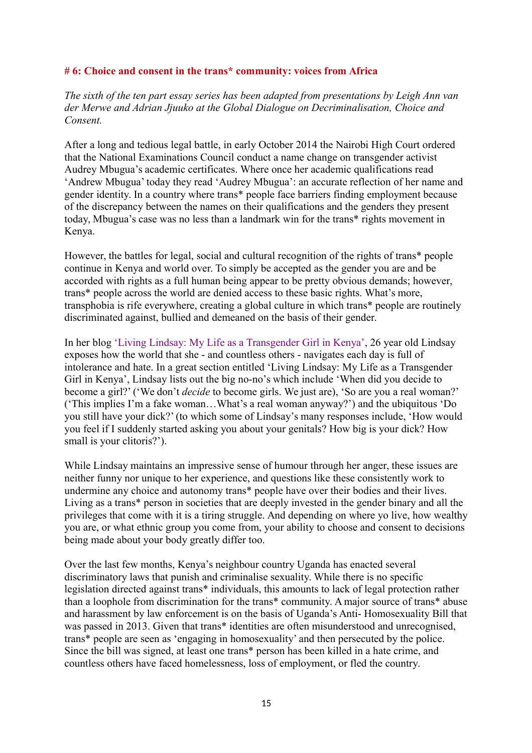#### **# 6: Choice and consent in the trans\* community: voices from Africa**

*The sixth of the ten part essay series has been adapted from presentations by Leigh Ann van der Merwe and Adrian Jjuuko at the Global Dialogue on Decriminalisation, Choice and Consent.*

After a long and tedious legal battle, in early October 2014 the Nairobi High Court ordered that the National Examinations Council conduct a name change on transgender activist Audrey Mbugua's academic certificates. Where once her academic qualifications read 'Andrew Mbugua' today they read 'Audrey Mbugua': an accurate reflection of her name and gender identity. In a country where trans\* people face barriers finding employment because of the discrepancy between the names on their qualifications and the genders they present today, Mbugua's case was no less than a landmark win for the trans\* rights movement in Kenya.

However, the battles for legal, social and cultural recognition of the rights of trans\* people continue in Kenya and world over. To simply be accepted as the gender you are and be accorded with rights as a full human being appear to be pretty obvious demands; however, trans\* people across the world are denied access to these basic rights. What's more, transphobia is rife everywhere, creating a global culture in which trans\* people are routinely discriminated against, bullied and demeaned on the basis of their gender.

In her blog 'Living Lindsay: My Life as a Transgender Girl in Kenya', 26 year old Lindsay exposes how the world that she - and countless others - navigates each day is full of intolerance and hate. In a great section entitled 'Living Lindsay: My Life as a Transgender Girl in Kenya', Lindsay lists out the big no-no's which include 'When did you decide to become a girl?' ('We don't *decide* to become girls. We just are), 'So are you a real woman?' ('This implies I'm a fake woman…What's a real woman anyway?') and the ubiquitous 'Do you still have your dick?' (to which some of Lindsay's many responses include, 'How would you feel if I suddenly started asking you about your genitals? How big is your dick? How small is your clitoris?').

While Lindsay maintains an impressive sense of humour through her anger, these issues are neither funny nor unique to her experience, and questions like these consistently work to undermine any choice and autonomy trans\* people have over their bodies and their lives. Living as a trans\* person in societies that are deeply invested in the gender binary and all the privileges that come with it is a tiring struggle. And depending on where yo live, how wealthy you are, or what ethnic group you come from, your ability to choose and consent to decisions being made about your body greatly differ too.

Over the last few months, Kenya's neighbour country Uganda has enacted several discriminatory laws that punish and criminalise sexuality. While there is no specific legislation directed against trans\* individuals, this amounts to lack of legal protection rather than a loophole from discrimination for the trans\* community. A major source of trans\* abuse and harassment by law enforcement is on the basis of Uganda's Anti- Homosexuality Bill that was passed in 2013. Given that trans\* identities are often misunderstood and unrecognised, trans\* people are seen as 'engaging in homosexuality' and then persecuted by the police. Since the bill was signed, at least one trans\* person has been killed in a hate crime, and countless others have faced homelessness, loss of employment, or fled the country.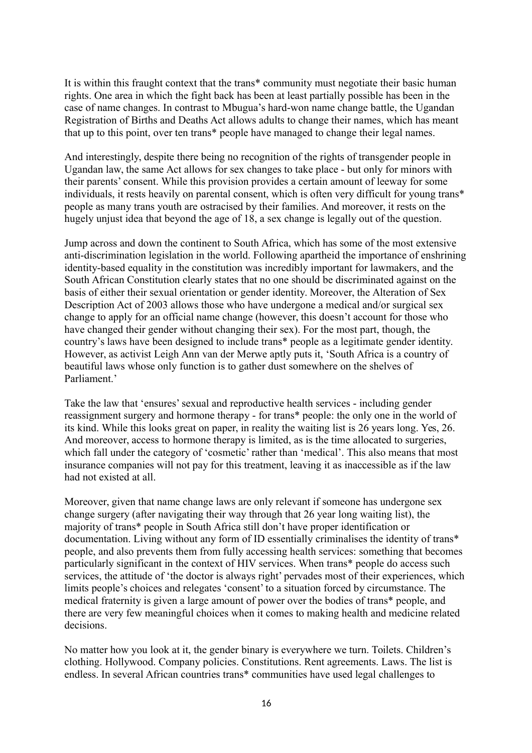It is within this fraught context that the trans\* community must negotiate their basic human rights. One area in which the fight back has been at least partially possible has been in the case of name changes. In contrast to Mbugua's hard-won name change battle, the Ugandan Registration of Births and Deaths Act allows adults to change their names, which has meant that up to this point, over ten trans\* people have managed to change their legal names.

And interestingly, despite there being no recognition of the rights of transgender people in Ugandan law, the same Act allows for sex changes to take place - but only for minors with their parents' consent. While this provision provides a certain amount of leeway for some individuals, it rests heavily on parental consent, which is often very difficult for young trans\* people as many trans youth are ostracised by their families. And moreover, it rests on the hugely unjust idea that beyond the age of 18, a sex change is legally out of the question.

Jump across and down the continent to South Africa, which has some of the most extensive anti-discrimination legislation in the world. Following apartheid the importance of enshrining identity-based equality in the constitution was incredibly important for lawmakers, and the South African Constitution clearly states that no one should be discriminated against on the basis of either their sexual orientation or gender identity. Moreover, the Alteration of Sex Description Act of 2003 allows those who have undergone a medical and/or surgical sex change to apply for an official name change (however, this doesn't account for those who have changed their gender without changing their sex). For the most part, though, the country's laws have been designed to include trans\* people as a legitimate gender identity. However, as activist Leigh Ann van der Merwe aptly puts it, 'South Africa is a country of beautiful laws whose only function is to gather dust somewhere on the shelves of Parliament<sup>'</sup>

Take the law that 'ensures' sexual and reproductive health services - including gender reassignment surgery and hormone therapy - for trans\* people: the only one in the world of its kind. While this looks great on paper, in reality the waiting list is 26 years long. Yes, 26. And moreover, access to hormone therapy is limited, as is the time allocated to surgeries, which fall under the category of 'cosmetic' rather than 'medical'. This also means that most insurance companies will not pay for this treatment, leaving it as inaccessible as if the law had not existed at all.

Moreover, given that name change laws are only relevant if someone has undergone sex change surgery (after navigating their way through that 26 year long waiting list), the majority of trans\* people in South Africa still don't have proper identification or documentation. Living without any form of ID essentially criminalises the identity of trans\* people, and also prevents them from fully accessing health services: something that becomes particularly significant in the context of HIV services. When trans\* people do access such services, the attitude of 'the doctor is always right' pervades most of their experiences, which limits people's choices and relegates 'consent' to a situation forced by circumstance. The medical fraternity is given a large amount of power over the bodies of trans\* people, and there are very few meaningful choices when it comes to making health and medicine related decisions.

No matter how you look at it, the gender binary is everywhere we turn. Toilets. Children's clothing. Hollywood. Company policies. Constitutions. Rent agreements. Laws. The list is endless. In several African countries trans\* communities have used legal challenges to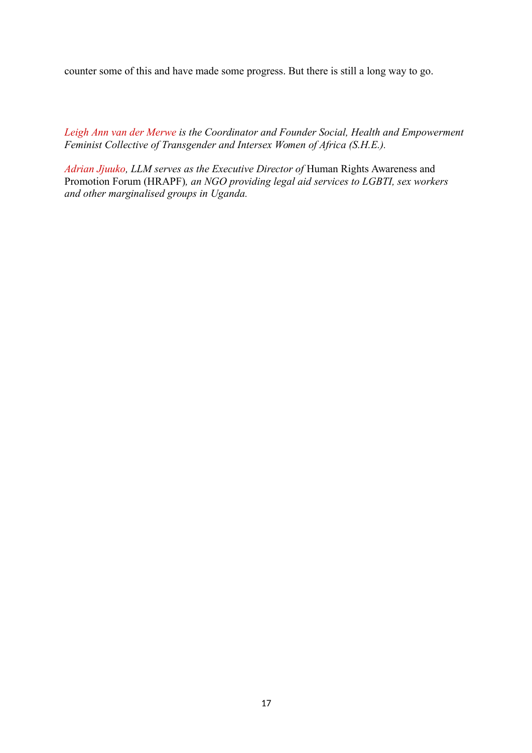counter some of this and have made some progress. But there is still a long way to go.

*Leigh Ann van der Merwe is the Coordinator and Founder Social, Health and Empowerment Feminist Collective of Transgender and Intersex Women of Africa (S.H.E.).*

*Adrian Jjuuko, LLM serves as the Executive Director of* Human Rights Awareness and Promotion Forum (HRAPF)*, an NGO providing legal aid services to LGBTI, sex workers and other marginalised groups in Uganda.*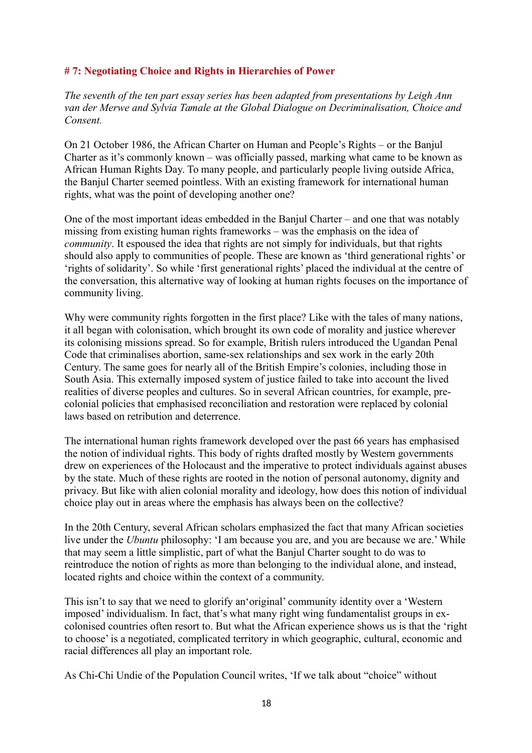# **# 7: Negotiating Choice and Rights in Hierarchies of Power**

*The seventh of the ten part essay series has been adapted from presentations by Leigh Ann van der Merwe and Sylvia Tamale at the Global Dialogue on Decriminalisation, Choice and Consent.*

On 21 October 1986, the African Charter on Human and People's Rights – or the Banjul Charter as it's commonly known – was officially passed, marking what came to be known as African Human Rights Day. To many people, and particularly people living outside Africa, the Banjul Charter seemed pointless. With an existing framework for international human rights, what was the point of developing another one?

One of the most important ideas embedded in the Banjul Charter – and one that was notably missing from existing human rights frameworks – was the emphasis on the idea of *community*. It espoused the idea that rights are not simply for individuals, but that rights should also apply to communities of people. These are known as 'third generational rights' or 'rights of solidarity'. So while 'first generational rights' placed the individual at the centre of the conversation, this alternative way of looking at human rights focuses on the importance of community living.

Why were community rights forgotten in the first place? Like with the tales of many nations, it all began with colonisation, which brought its own code of morality and justice wherever its colonising missions spread. So for example, British rulers introduced the Ugandan Penal Code that criminalises abortion, same-sex relationships and sex work in the early 20th Century. The same goes for nearly all of the British Empire's colonies, including those in South Asia. This externally imposed system of justice failed to take into account the lived realities of diverse peoples and cultures. So in several African countries, for example, precolonial policies that emphasised reconciliation and restoration were replaced by colonial laws based on retribution and deterrence.

The international human rights framework developed over the past 66 years has emphasised the notion of individual rights. This body of rights drafted mostly by Western governments drew on experiences of the Holocaust and the imperative to protect individuals against abuses by the state. Much of these rights are rooted in the notion of personal autonomy, dignity and privacy. But like with alien colonial morality and ideology, how does this notion of individual choice play out in areas where the emphasis has always been on the collective?

In the 20th Century, several African scholars emphasized the fact that many African societies live under the *Ubuntu* philosophy: 'I am because you are, and you are because we are.' While that may seem a little simplistic, part of what the Banjul Charter sought to do was to reintroduce the notion of rights as more than belonging to the individual alone, and instead, located rights and choice within the context of a community.

This isn't to say that we need to glorify an'original' community identity over a 'Western imposed' individualism. In fact, that's what many right wing fundamentalist groups in excolonised countries often resort to. But what the African experience shows us is that the 'right to choose' is a negotiated, complicated territory in which geographic, cultural, economic and racial differences all play an important role.

As Chi-Chi Undie of the Population Council writes, 'If we talk about "choice" without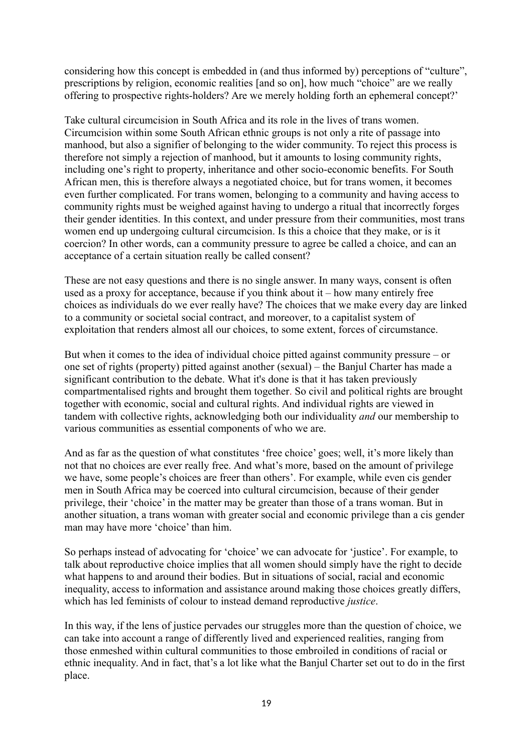considering how this concept is embedded in (and thus informed by) perceptions of "culture", prescriptions by religion, economic realities [and so on], how much "choice" are we really offering to prospective rights-holders? Are we merely holding forth an ephemeral concept?'

Take cultural circumcision in South Africa and its role in the lives of trans women. Circumcision within some South African ethnic groups is not only a rite of passage into manhood, but also a signifier of belonging to the wider community. To reject this process is therefore not simply a rejection of manhood, but it amounts to losing community rights, including one's right to property, inheritance and other socio-economic benefits. For South African men, this is therefore always a negotiated choice, but for trans women, it becomes even further complicated. For trans women, belonging to a community and having access to community rights must be weighed against having to undergo a ritual that incorrectly forges their gender identities. In this context, and under pressure from their communities, most trans women end up undergoing cultural circumcision. Is this a choice that they make, or is it coercion? In other words, can a community pressure to agree be called a choice, and can an acceptance of a certain situation really be called consent?

These are not easy questions and there is no single answer. In many ways, consent is often used as a proxy for acceptance, because if you think about it – how many entirely free choices as individuals do we ever really have? The choices that we make every day are linked to a community or societal social contract, and moreover, to a capitalist system of exploitation that renders almost all our choices, to some extent, forces of circumstance.

But when it comes to the idea of individual choice pitted against community pressure – or one set of rights (property) pitted against another (sexual) – the Banjul Charter has made a significant contribution to the debate. What it's done is that it has taken previously compartmentalised rights and brought them together. So civil and political rights are brought together with economic, social and cultural rights. And individual rights are viewed in tandem with collective rights, acknowledging both our individuality *and* our membership to various communities as essential components of who we are.

And as far as the question of what constitutes 'free choice' goes; well, it's more likely than not that no choices are ever really free. And what's more, based on the amount of privilege we have, some people's choices are freer than others'. For example, while even cis gender men in South Africa may be coerced into cultural circumcision, because of their gender privilege, their 'choice' in the matter may be greater than those of a trans woman. But in another situation, a trans woman with greater social and economic privilege than a cis gender man may have more 'choice' than him.

So perhaps instead of advocating for 'choice' we can advocate for 'justice'. For example, to talk about reproductive choice implies that all women should simply have the right to decide what happens to and around their bodies. But in situations of social, racial and economic inequality, access to information and assistance around making those choices greatly differs, which has led feminists of colour to instead demand reproductive *justice*.

In this way, if the lens of justice pervades our struggles more than the question of choice, we can take into account a range of differently lived and experienced realities, ranging from those enmeshed within cultural communities to those embroiled in conditions of racial or ethnic inequality. And in fact, that's a lot like what the Banjul Charter set out to do in the first place.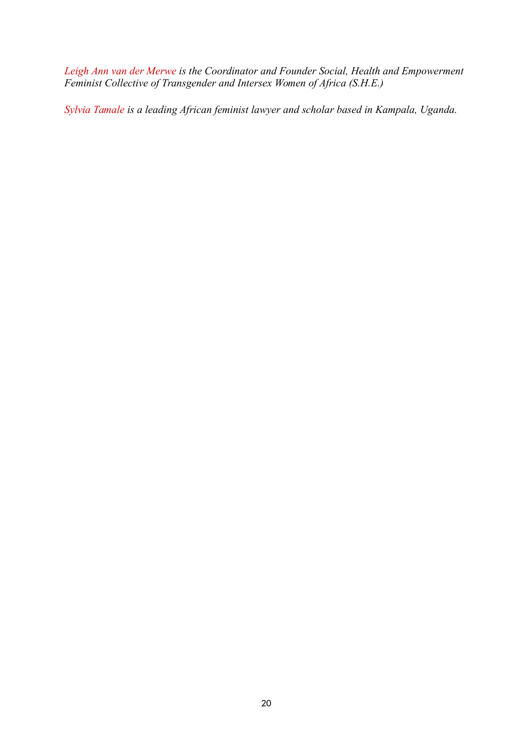Leigh Ann van der Merwe is the Coordinator and Founder Social, Health and Empowerment *Feminist Collective of Transgender and Intersex Women of Africa (S.H.E.)*

*Sylvia Tamale is a leading African feminist lawyer and scholar based in Kampala, Uganda.*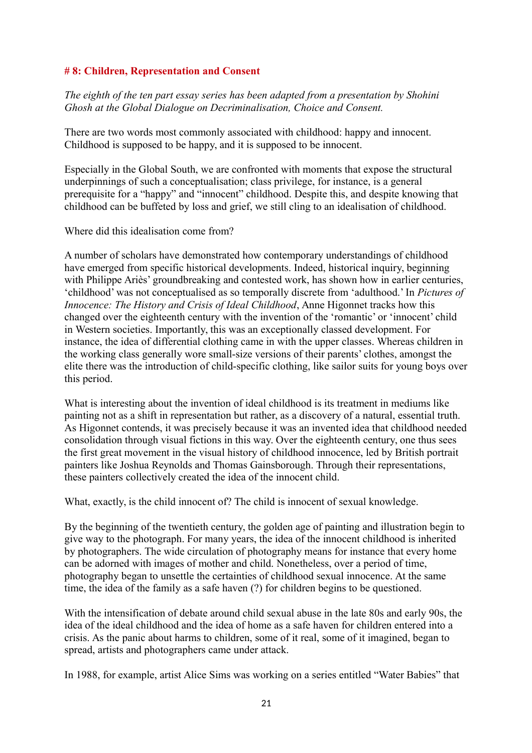# **# 8: Children, Representation and Consent**

*The eighth of the ten part essay series has been adapted from a presentation by Shohini Ghosh at the Global Dialogue on Decriminalisation, Choice and Consent.*

There are two words most commonly associated with childhood: happy and innocent. Childhood is supposed to be happy, and it is supposed to be innocent.

Especially in the Global South, we are confronted with moments that expose the structural underpinnings of such a conceptualisation; class privilege, for instance, is a general prerequisite for a "happy" and "innocent" childhood. Despite this, and despite knowing that childhood can be buffeted by loss and grief, we still cling to an idealisation of childhood.

Where did this idealisation come from?

A number of scholars have demonstrated how contemporary understandings of childhood have emerged from specific historical developments. Indeed, historical inquiry, beginning with Philippe Ariès' groundbreaking and contested work, has shown how in earlier centuries, 'childhood' was not conceptualised as so temporally discrete from 'adulthood.' In *Pictures of Innocence: The History and Crisis of Ideal Childhood*, Anne Higonnet tracks how this changed over the eighteenth century with the invention of the 'romantic' or 'innocent' child in Western societies. Importantly, this was an exceptionally classed development. For instance, the idea of differential clothing came in with the upper classes. Whereas children in the working class generally wore small-size versions of their parents' clothes, amongst the elite there was the introduction of child-specific clothing, like sailor suits for young boys over this period.

What is interesting about the invention of ideal childhood is its treatment in mediums like painting not as a shift in representation but rather, as a discovery of a natural, essential truth. As Higonnet contends, it was precisely because it was an invented idea that childhood needed consolidation through visual fictions in this way. Over the eighteenth century, one thus sees the first great movement in the visual history of childhood innocence, led by British portrait painters like Joshua Reynolds and Thomas Gainsborough. Through their representations, these painters collectively created the idea of the innocent child.

What, exactly, is the child innocent of? The child is innocent of sexual knowledge.

By the beginning of the twentieth century, the golden age of painting and illustration begin to give way to the photograph. For many years, the idea of the innocent childhood is inherited by photographers. The wide circulation of photography means for instance that every home can be adorned with images of mother and child. Nonetheless, over a period of time, photography began to unsettle the certainties of childhood sexual innocence. At the same time, the idea of the family as a safe haven (?) for children begins to be questioned.

With the intensification of debate around child sexual abuse in the late 80s and early 90s, the idea of the ideal childhood and the idea of home as a safe haven for children entered into a crisis. As the panic about harms to children, some of it real, some of it imagined, began to spread, artists and photographers came under attack.

In 1988, for example, artist Alice Sims was working on a series entitled "Water Babies" that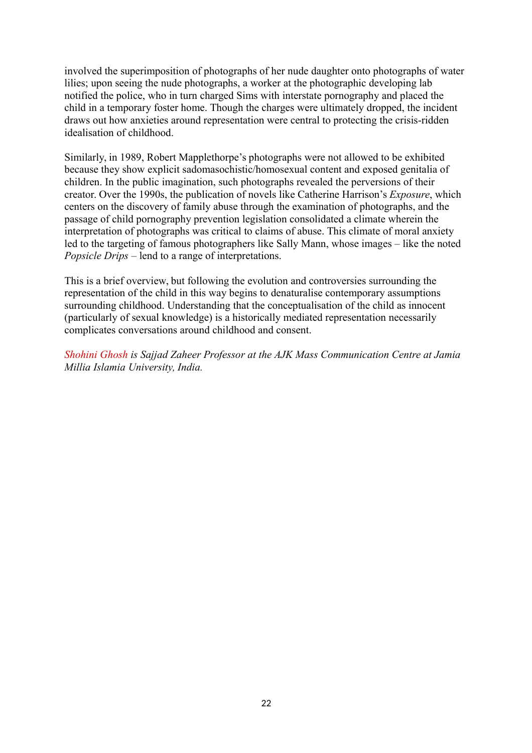involved the superimposition of photographs of her nude daughter onto photographs of water lilies; upon seeing the nude photographs, a worker at the photographic developing lab notified the police, who in turn charged Sims with interstate pornography and placed the child in a temporary foster home. Though the charges were ultimately dropped, the incident draws out how anxieties around representation were central to protecting the crisis-ridden idealisation of childhood.

Similarly, in 1989, Robert Mapplethorpe's photographs were not allowed to be exhibited because they show explicit sadomasochistic/homosexual content and exposed genitalia of children. In the public imagination, such photographs revealed the perversions of their creator. Over the 1990s, the publication of novels like Catherine Harrison's *Exposure*, which centers on the discovery of family abuse through the examination of photographs, and the passage of child pornography prevention legislation consolidated a climate wherein the interpretation of photographs was critical to claims of abuse. This climate of moral anxiety led to the targeting of famous photographers like Sally Mann, whose images – like the noted *Popsicle Drips* – lend to a range of interpretations.

This is a brief overview, but following the evolution and controversies surrounding the representation of the child in this way begins to denaturalise contemporary assumptions surrounding childhood. Understanding that the conceptualisation of the child as innocent (particularly of sexual knowledge) is a historically mediated representation necessarily complicates conversations around childhood and consent.

*Shohini Ghosh is Sajjad Zaheer Professor at the AJK Mass Communication Centre at Jamia Millia Islamia University, India.*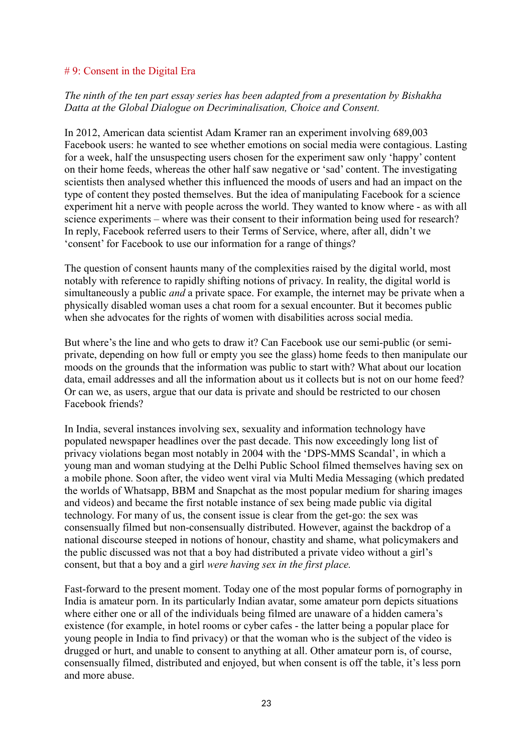#### # 9: Consent in the Digital Era

# *The ninth of the ten part essay series has been adapted from a presentation by Bishakha Datta at the Global Dialogue on Decriminalisation, Choice and Consent.*

In 2012, American data scientist Adam Kramer ran an experiment involving 689,003 Facebook users: he wanted to see whether emotions on social media were contagious. Lasting for a week, half the unsuspecting users chosen for the experiment saw only 'happy' content on their home feeds, whereas the other half saw negative or 'sad' content. The investigating scientists then analysed whether this influenced the moods of users and had an impact on the type of content they posted themselves. But the idea of manipulating Facebook for a science experiment hit a nerve with people across the world. They wanted to know where - as with all science experiments – where was their consent to their information being used for research? In reply, Facebook referred users to their Terms of Service, where, after all, didn't we 'consent' for Facebook to use our information for a range of things?

The question of consent haunts many of the complexities raised by the digital world, most notably with reference to rapidly shifting notions of privacy. In reality, the digital world is simultaneously a public *and* a private space. For example, the internet may be private when a physically disabled woman uses a chat room for a sexual encounter. But it becomes public when she advocates for the rights of women with disabilities across social media.

But where's the line and who gets to draw it? Can Facebook use our semi-public (or semiprivate, depending on how full or empty you see the glass) home feeds to then manipulate our moods on the grounds that the information was public to start with? What about our location data, email addresses and all the information about us it collects but is not on our home feed? Or can we, as users, argue that our data is private and should be restricted to our chosen Facebook friends?

In India, several instances involving sex, sexuality and information technology have populated newspaper headlines over the past decade. This now exceedingly long list of privacy violations began most notably in 2004 with the 'DPS-MMS Scandal', in which a young man and woman studying at the Delhi Public School filmed themselves having sex on a mobile phone. Soon after, the video went viral via Multi Media Messaging (which predated the worlds of Whatsapp, BBM and Snapchat as the most popular medium for sharing images and videos) and became the first notable instance of sex being made public via digital technology. For many of us, the consent issue is clear from the get-go: the sex was consensually filmed but non-consensually distributed. However, against the backdrop of a national discourse steeped in notions of honour, chastity and shame, what policymakers and the public discussed was not that a boy had distributed a private video without a girl's consent, but that a boy and a girl *were having sex in the first place.*

Fast-forward to the present moment. Today one of the most popular forms of pornography in India is amateur porn. In its particularly Indian avatar, some amateur porn depicts situations where either one or all of the individuals being filmed are unaware of a hidden camera's existence (for example, in hotel rooms or cyber cafes - the latter being a popular place for young people in India to find privacy) or that the woman who is the subject of the video is drugged or hurt, and unable to consent to anything at all. Other amateur porn is, of course, consensually filmed, distributed and enjoyed, but when consent is off the table, it's less porn and more abuse.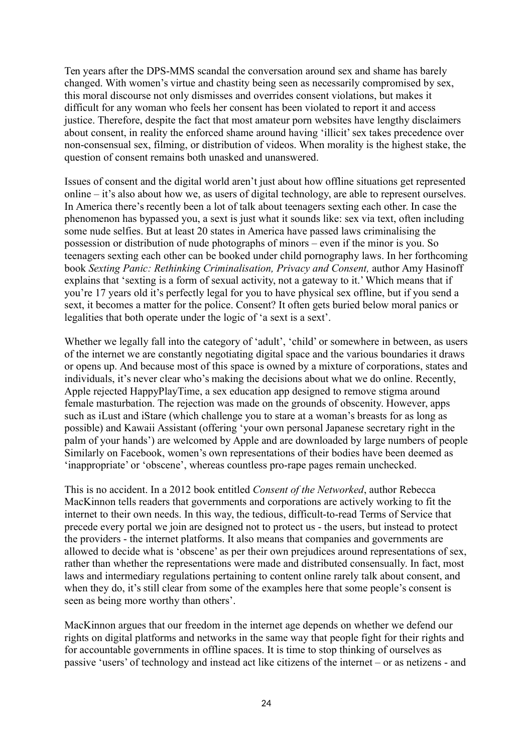Ten years after the DPS-MMS scandal the conversation around sex and shame has barely changed. With women's virtue and chastity being seen as necessarily compromised by sex, this moral discourse not only dismisses and overrides consent violations, but makes it difficult for any woman who feels her consent has been violated to report it and access justice. Therefore, despite the fact that most amateur porn websites have lengthy disclaimers about consent, in reality the enforced shame around having 'illicit' sex takes precedence over non-consensual sex, filming, or distribution of videos. When morality is the highest stake, the question of consent remains both unasked and unanswered.

Issues of consent and the digital world aren't just about how offline situations get represented online – it's also about how we, as users of digital technology, are able to represent ourselves. In America there's recently been a lot of talk about teenagers sexting each other. In case the phenomenon has bypassed you, a sext is just what it sounds like: sex via text, often including some nude selfies. But at least 20 states in America have passed laws criminalising the possession or distribution of nude photographs of minors – even if the minor is you. So teenagers sexting each other can be booked under child pornography laws. In her forthcoming book *Sexting Panic: Rethinking Criminalisation, Privacy and Consent,* author Amy Hasinoff explains that 'sexting is a form of sexual activity, not a gateway to it.' Which means that if you're 17 years old it's perfectly legal for you to have physical sex offline, but if you send a sext, it becomes a matter for the police. Consent? It often gets buried below moral panics or legalities that both operate under the logic of 'a sext is a sext'.

Whether we legally fall into the category of 'adult', 'child' or somewhere in between, as users of the internet we are constantly negotiating digital space and the various boundaries it draws or opens up. And because most of this space is owned by a mixture of corporations, states and individuals, it's never clear who's making the decisions about what we do online. Recently, Apple rejected HappyPlayTime, a sex education app designed to remove stigma around female masturbation. The rejection was made on the grounds of obscenity. However, apps such as iLust and iStare (which challenge you to stare at a woman's breasts for as long as possible) and Kawaii Assistant (offering 'your own personal Japanese secretary right in the palm of your hands') are welcomed by Apple and are downloaded by large numbers of people Similarly on Facebook, women's own representations of their bodies have been deemed as 'inappropriate' or 'obscene', whereas countless pro-rape pages remain unchecked.

This is no accident. In a 2012 book entitled *Consent of the Networked*, author Rebecca MacKinnon tells readers that governments and corporations are actively working to fit the internet to their own needs. In this way, the tedious, difficult-to-read Terms of Service that precede every portal we join are designed not to protect us - the users, but instead to protect the providers - the internet platforms. It also means that companies and governments are allowed to decide what is 'obscene' as per their own prejudices around representations of sex, rather than whether the representations were made and distributed consensually. In fact, most laws and intermediary regulations pertaining to content online rarely talk about consent, and when they do, it's still clear from some of the examples here that some people's consent is seen as being more worthy than others'.

MacKinnon argues that our freedom in the internet age depends on whether we defend our rights on digital platforms and networks in the same way that people fight for their rights and for accountable governments in offline spaces. It is time to stop thinking of ourselves as passive 'users' of technology and instead act like citizens of the internet – or as netizens - and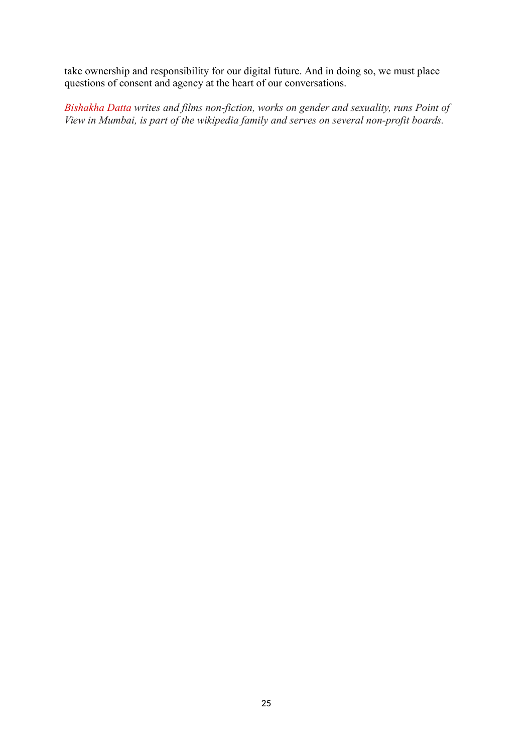take ownership and responsibility for our digital future. And in doing so, we must place questions of consent and agency at the heart of our conversations.

*Bishakha Datta writes and films non-fiction, works on gender and sexuality, runs Point of View in Mumbai, is part of the wikipedia family and serves on several non-profit boards.*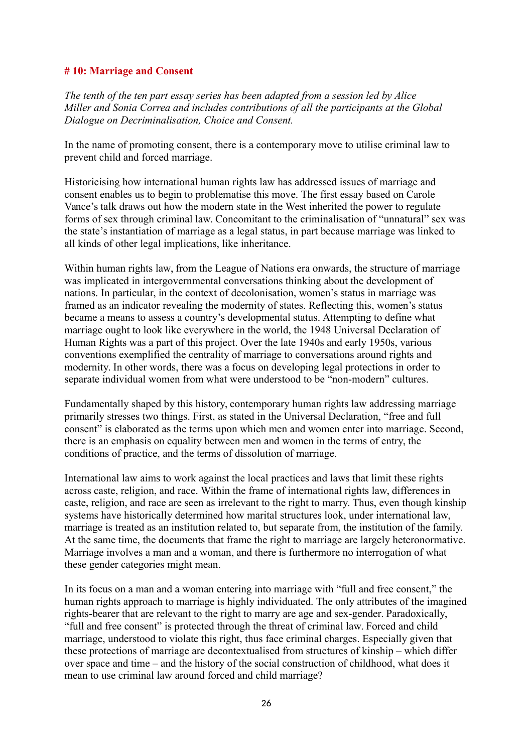#### **# 10: Marriage and Consent**

*The tenth of the ten part essay series has been adapted from a session led by Alice Miller and Sonia Correa and includes contributions of all the participants at the Global Dialogue on Decriminalisation, Choice and Consent.*

In the name of promoting consent, there is a contemporary move to utilise criminal law to prevent child and forced marriage.

Historicising how international human rights law has addressed issues of marriage and consent enables us to begin to problematise this move. The first essay based on Carole Vance's talk draws out how the modern state in the West inherited the power to regulate forms of sex through criminal law. Concomitant to the criminalisation of "unnatural" sex was the state's instantiation of marriage as a legal status, in part because marriage was linked to all kinds of other legal implications, like inheritance.

Within human rights law, from the League of Nations era onwards, the structure of marriage was implicated in intergovernmental conversations thinking about the development of nations. In particular, in the context of decolonisation, women's status in marriage was framed as an indicator revealing the modernity of states. Reflecting this, women's status became a means to assess a country's developmental status. Attempting to define what marriage ought to look like everywhere in the world, the 1948 Universal Declaration of Human Rights was a part of this project. Over the late 1940s and early 1950s, various conventions exemplified the centrality of marriage to conversations around rights and modernity. In other words, there was a focus on developing legal protections in order to separate individual women from what were understood to be "non-modern" cultures.

Fundamentally shaped by this history, contemporary human rights law addressing marriage primarily stresses two things. First, as stated in the Universal Declaration, "free and full consent" is elaborated as the terms upon which men and women enter into marriage. Second, there is an emphasis on equality between men and women in the terms of entry, the conditions of practice, and the terms of dissolution of marriage.

International law aims to work against the local practices and laws that limit these rights across caste, religion, and race. Within the frame of international rights law, differences in caste, religion, and race are seen as irrelevant to the right to marry. Thus, even though kinship systems have historically determined how marital structures look, under international law, marriage is treated as an institution related to, but separate from, the institution of the family. At the same time, the documents that frame the right to marriage are largely heteronormative. Marriage involves a man and a woman, and there is furthermore no interrogation of what these gender categories might mean.

In its focus on a man and a woman entering into marriage with "full and free consent," the human rights approach to marriage is highly individuated. The only attributes of the imagined rights-bearer that are relevant to the right to marry are age and sex-gender. Paradoxically, "full and free consent" is protected through the threat of criminal law. Forced and child marriage, understood to violate this right, thus face criminal charges. Especially given that these protections of marriage are decontextualised from structures of kinship – which differ over space and time – and the history of the social construction of childhood, what does it mean to use criminal law around forced and child marriage?